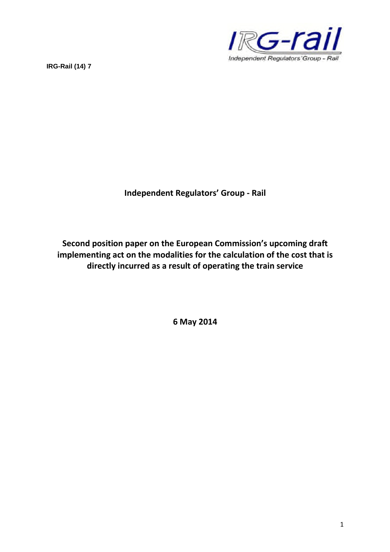



**Independent Regulators' Group - Rail**

**Second position paper on the European Commission's upcoming draft implementing act on the modalities for the calculation of the cost that is directly incurred as a result of operating the train service**

**6 May 2014**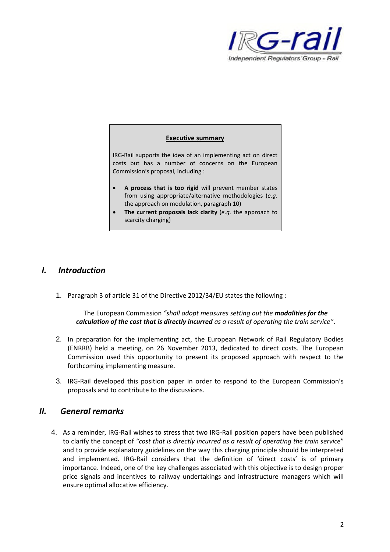

## **Executive summary**

IRG-Rail supports the idea of an implementing act on direct costs but has a number of concerns on the European Commission's proposal, including :

- **A process that is too rigid** will prevent member states from using appropriate/alternative methodologies (*e.g.* the approach on modulation, paragraph 10)
- **The current proposals lack clarity** (*e.g.* the approach to scarcity charging)

## *I. Introduction*

1. Paragraph 3 of article 31 of the Directive 2012/34/EU states the following :

The European Commission *"shall adopt measures setting out the modalities for the calculation of the cost that is directly incurred as a result of operating the train service"*.

- 2. In preparation for the implementing act, the European Network of Rail Regulatory Bodies (ENRRB) held a meeting, on 26 November 2013, dedicated to direct costs. The European Commission used this opportunity to present its proposed approach with respect to the forthcoming implementing measure.
- 3. IRG-Rail developed this position paper in order to respond to the European Commission's proposals and to contribute to the discussions.

## *II. General remarks*

4. As a reminder, IRG-Rail wishes to stress that two IRG-Rail position papers have been published to clarify the concept of *"cost that is directly incurred as a result of operating the train service*" and to provide explanatory guidelines on the way this charging principle should be interpreted and implemented. IRG-Rail considers that the definition of 'direct costs' is of primary importance. Indeed, one of the key challenges associated with this objective is to design proper price signals and incentives to railway undertakings and infrastructure managers which will ensure optimal allocative efficiency.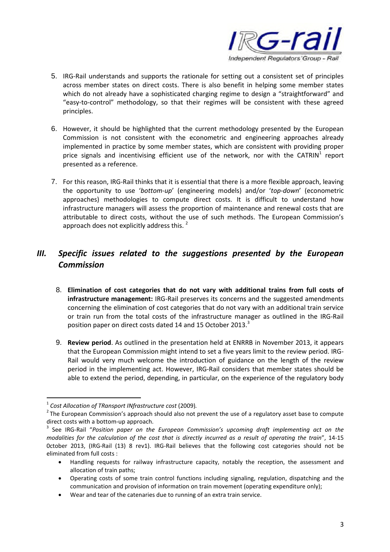

- 5. IRG-Rail understands and supports the rationale for setting out a consistent set of principles across member states on direct costs. There is also benefit in helping some member states which do not already have a sophisticated charging regime to design a "straightforward" and "easy-to-control" methodology, so that their regimes will be consistent with these agreed principles.
- 6. However, it should be highlighted that the current methodology presented by the European Commission is not consistent with the econometric and engineering approaches already implemented in practice by some member states, which are consistent with providing proper price signals and incentivising efficient use of the network, nor with the CATRIN<sup>1</sup> report presented as a reference.
- 7. For this reason, IRG-Rail thinks that it is essential that there is a more flexible approach, leaving the opportunity to use '*bottom-up*' (engineering models) and/or '*top-down*' (econometric approaches) methodologies to compute direct costs. It is difficult to understand how infrastructure managers will assess the proportion of maintenance and renewal costs that are attributable to direct costs, without the use of such methods. The European Commission's approach does not explicitly address this.<sup>2</sup>

## *III. Specific issues related to the suggestions presented by the European Commission*

- 8. **Elimination of cost categories that do not vary with additional trains from full costs of infrastructure management:** IRG-Rail preserves its concerns and the suggested amendments concerning the elimination of cost categories that do not vary with an additional train service or train run from the total costs of the infrastructure manager as outlined in the IRG-Rail position paper on direct costs dated 14 and 15 October 2013.<sup>3</sup>
- 9. **Review period**. As outlined in the presentation held at ENRRB in November 2013, it appears that the European Commission might intend to set a five years limit to the review period. IRG-Rail would very much welcome the introduction of guidance on the length of the review period in the implementing act. However, IRG-Rail considers that member states should be able to extend the period, depending, in particular, on the experience of the regulatory body

<sup>1</sup> *Cost Allocation of TRansport INfrastructure cost* (2009)*.*

 $^{2}$  The European Commission's approach should also not prevent the use of a regulatory asset base to compute direct costs with a bottom-up approach.

<sup>&</sup>lt;sup>3</sup> See IRG-Rail "Position paper on the European Commission's upcoming draft implementing act on the *modalities for the calculation of the cost that is directly incurred as a result of operating the train*", 14-15 0ctober 2013, (IRG-Rail (13) 8 rev1). IRG-Rail believes that the following cost categories should not be eliminated from full costs :

Handling requests for railway infrastructure capacity, notably the reception, the assessment and allocation of train paths;

Operating costs of some train control functions including signaling, regulation, dispatching and the communication and provision of information on train movement (operating expenditure only);

Wear and tear of the catenaries due to running of an extra train service.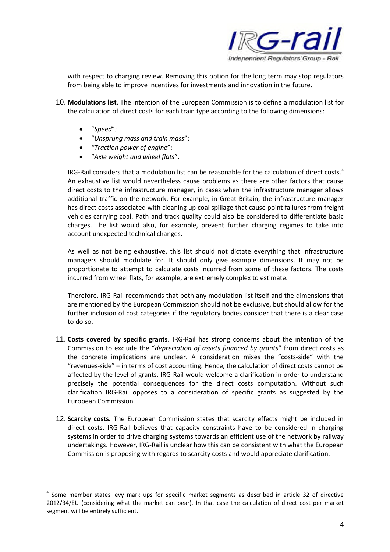

with respect to charging review. Removing this option for the long term may stop regulators from being able to improve incentives for investments and innovation in the future.

- 10. **Modulations list**. The intention of the European Commission is to define a modulation list for the calculation of direct costs for each train type according to the following dimensions:
	- "*Speed*";
	- "*Unsprung mass and train mass*";
	- *"Traction power of engine*";
	- "*Axle weight and wheel flats*".

IRG-Rail considers that a modulation list can be reasonable for the calculation of direct costs.<sup>4</sup> An exhaustive list would nevertheless cause problems as there are other factors that cause direct costs to the infrastructure manager, in cases when the infrastructure manager allows additional traffic on the network. For example, in Great Britain, the infrastructure manager has direct costs associated with cleaning up coal spillage that cause point failures from freight vehicles carrying coal. Path and track quality could also be considered to differentiate basic charges. The list would also, for example, prevent further charging regimes to take into account unexpected technical changes.

As well as not being exhaustive, this list should not dictate everything that infrastructure managers should modulate for. It should only give example dimensions. It may not be proportionate to attempt to calculate costs incurred from some of these factors. The costs incurred from wheel flats, for example, are extremely complex to estimate.

Therefore, IRG-Rail recommends that both any modulation list itself and the dimensions that are mentioned by the European Commission should not be exclusive, but should allow for the further inclusion of cost categories if the regulatory bodies consider that there is a clear case to do so.

- 11. **Costs covered by specific grants**. IRG-Rail has strong concerns about the intention of the Commission to exclude the "*depreciation of assets financed by grants*" from direct costs as the concrete implications are unclear. A consideration mixes the "costs-side" with the "revenues-side" – in terms of cost accounting. Hence, the calculation of direct costs cannot be affected by the level of grants. IRG-Rail would welcome a clarification in order to understand precisely the potential consequences for the direct costs computation. Without such clarification IRG-Rail opposes to a consideration of specific grants as suggested by the European Commission.
- 12. **Scarcity costs.** The European Commission states that scarcity effects might be included in direct costs. IRG-Rail believes that capacity constraints have to be considered in charging systems in order to drive charging systems towards an efficient use of the network by railway undertakings. However, IRG-Rail is unclear how this can be consistent with what the European Commission is proposing with regards to scarcity costs and would appreciate clarification.

<sup>&</sup>lt;sup>4</sup> Some member states levy mark ups for specific market segments as described in article 32 of directive 2012/34/EU (considering what the market can bear). In that case the calculation of direct cost per market segment will be entirely sufficient.